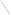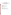### **OFFICE OF WATER**

## **Knowing Our Waters: Tribal Reporting under Section 305(b)**

#### **Table of Contents**

[1.0 Introduction](#page-2-0)

- [2.0 What is 305\(b\) Reporting?](#page-2-0)
- [3.0 Why should a Tribe or Tribal Group Prepare a 305\(b\) Report?](#page-2-0)
- [4.0 What is an Assessment](#page-3-0)
- [5.0 Contents of a Tribal 305\(b\) Report](#page-4-0)

[6.0 Getting Started](#page-4-0)

[7.0 U.S. Environmental Protection Agency 305\(b\) Coordinators](#page-9-0)

[8.0 U.S. Environmental Protection Agency Tribal Coordinators](#page-11-0)

#### **Tables**

- [Table 1: Atlas Table](#page-5-0)
- [Table 2: Individual Use Support Summary](#page-6-0)
- [Table 3: Summary of Stream Miles Impaired by Various Pollutants/Stressors](#page-6-0)
- [Table 4: Summary of Stream Miles Impaired by Various Source Categories](#page-7-0)
- [Table 5: Waterbody-Specific assessment data for 305\(b\) reporting](#page-7-0)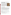# <span id="page-2-0"></span>**Knowing Our Waters: Tribal Reporting under Section 305(b)**

Native American Tribes and Tribal groups have the option of reporting on the quality of their waters under Section 305(b) of the Clean Water Act. The goals of Tribal 305(b) reporting are to document the status of water quality and to identify any improvements needed to achieve healthy ecosystems that can meet Tribal needs, including unique cultural or ceremonial needs. This brochure describes the process of 305(b) reporting and the advantages to Tribes that choose to participate. EPA includes information from these Tribal reports in its biennial National Water Quality Inventory Report to Congress, along with information from the 55 States, Territories, and interstate commissions that submitted 305(b) reports.



### **What is 305(b) Reporting?**

Section 305(b) of the Clean Water Act requires each State to prepare a biennial report on the quality of its waters. A 305(b) report describes the extent to which streams, lakes, and estuaries support their designated uses (see box). The report also identifies the pollutants or stressors causing impairment of designated uses and the sources of these stressors (e.g., wastewater treatment plants or mines). Ground water programs and impacts are also described. Rather than presenting raw monitoring data, a 305(b) report presents the results of careful assessment of those data in terms meaningful to the public and governing bodies (e.g., Tribal Councils, legislators). EPA transmits the individual 305(b) reports to Congress along with a summary report on the Nation's water quality prepared using the 305(b) information.

### **Why Should a Tribe or Tribal Group Prepare a 305(b) Report?**

Tribes are exempted from the 305(b) reporting requirement but may choose to participate and are encouraged to do so. EPA does require Tribes to share summaries of any water quality monitoring data collected using EPA funding.

Benefits of participating in the 305(b) process include the following:

The report presents assessment information in a way that is meaningful to decisionmakers and can be used to set priorities for Tribal resource allocation.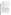<span id="page-3-0"></span>The 305(b) report is a public information tool documenting Tribal actions to protect waterbodies; it increases the visibility of the Tribal water quality programs.

The report calls attention to special issues such as fish tissue contamination from toxic chemicals and ground water contamination.

The process offers an opportunity for Tribal and State technical staff to coordinate assessments and data management for shared waters.

The 305(b) report is a good vehicle for recommending actions to EPA to achieve the objectives of the Clean Water Act and to protect Tribal waterbodies. Recommendations may include the need for additional monitoring, training in assessment or data management, and improved methods for fish consumption advisories.

The data and conclusions could be used to write future grant applications and ultimately acquire additional funding to improve water quality.

Beginning with the 1996 *National Water Quality Inventory Report to Congress*, EPA has highlighted water quality issues as reported by Tribes and will continue to include Tribal summary data on use support, causes, and sources. In addition, support of Tribal cultural or ceremonial uses will be reported.

### **What Is an Assessment?**

Figure 1 shows the relationship of 305(b) reporting to monitoring and assessments. The monitoring process begins with planning to measure clearly identified goals such as water quality standards, coordinating with other agencies, and designing a monitoring program (Step 1). Field staff then collect samples and record their observations about the waterbody and possible sources of pollution (Step 2). Samples are analyzed in the laboratory and results stored in a database (Steps 3 and 4). In the assessment stage (Step 5), analysts review all available information--field data, watershed characteristics, water supply or beach closures, fish kills, data from other agencies, etc. Physical, chemical, and/or biological data are compared to water quality standards or other criteria. Using all available information, the analyst determines the degree of designated use support, the pollutants or stressors, and the sources of pollution. EPA's Regional 305(b) Coordinators can provide information and training to Tribes about assessment methods and can provide additional contacts for water quality standards and criteria.

All States have adopted physical/chemical water quality standards, and many are also developing biological standards based on fish and aquatic macroinvertebrates.

After assessing its individual waterbodies, the State or Tribe prepares a 305(b) report summarizing these assessment results for all waterbodies (Step 6). The 305(b) report includes summary tables and maps of designated use support, causes, and sources of impairment.

For a hypothetical stream, the final assessment might be: Fully supporting swimming use. Not supporting aquatic life use due to sediment and nutrients; sources are agriculture and streambank modifications.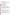### <span id="page-4-0"></span>**Contents of a Tribal 305(b) Report**

EPA provides detailed guidance to State water quality agencies for preparation of their 305(b) reports. However, EPA recognizes that many Tribes do not have the resources or data to comply with the full 305(b) guidelines. To encourage Tribal participation, EPA has modified the guidelines. These modified guidelines are available from EPA's Regional 305(b) Coordinators. The major components of a Tribal 305(b) report are:

An atlas table describing Tribal water resources

A description of Tribal water quality programs and issues of concern Descriptions of monitoring programs and assessment methods Summary tables of use support in streams, lakes, and estuaries Summary tables of causes and sources of impairment Map(s) of waters showing degree of use support, causes, and sources A description of public health concerns

Narrative or tabular presentation of ground water resources and problems A table listing waterbodies, degree of use support, causes, and sources.

Examples of several of these components are provided here. Tables 1 through 4 are examples of 305(b) summary tables and Figure 2 is a map showing designated use support, all taken from two Tribal 305(b) reports. Table 5 shows hypothetical data for individual waterbodies in the format requested by EPA for Tribal reports. If all the topics listed above cannot be covered in a Tribal 305(b) report, EPA encourages the Tribe to present available information in whatever form is appropriate--e.g., tabular, narrative, or graphical (map) format. EPA also encourages Tribes to coordinate with State and Federal water quality agencies, including the EPA Regions, on topics such as assessment methods in preparing their 305(b) reports.

## **Getting Started**

EPA encourages interested Tribal representatives to contact the appropriate EPA Regional 305(b) Coordinators for information about technical and financial resources. Also, each State has a 305(b) Coordinator who can provide copies of State 305(b) reports and share data and information on assessment methods. It may be mutually beneficial for Tribes and States to collaborate on assessments and reporting. For example, common assessments would be very appropriate for shared water resources. Opportunities for collaboration would need to be evaluated by each Tribe on a case-by-case basis.

Most States use a database to track information on individual waterbodies for use in preparing their 305(b) tables. EPA has developed a personal computer program, the Waterbody System, for this purpose. (A simple spreadsheet, similar to Table 5, may suffice if a Tribe has a relatively small number of waterbodies to track.) The Waterbody System is available to interested Tribes through the EPA Regional 305(b) Coordinators or from Tod Dabolt, National Waterbody System Coordinator, at (202) 260-3697, Dabolt. Thomas @epa.gov.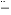<span id="page-5-0"></span>For information about the National Water Quality Inventory Report to Congress, cntact Susan Holdsworth., EPA's National 305(b) Coordinator at (202)-260-4743, Holdsworth.Susan@epa.gov.

#### **Designated Uses for Streams on the Campo Indian Reservation**

Cold- and warm-water aquatic life Wildlife habitat Shellfishing Swimming Drinking Agricultural Cultural/ceremonial

#### **Table 1. Atlas Table**

| <b>Topic</b>                          | Value          |
|---------------------------------------|----------------|
| Reservation population (residents)    | 244            |
| Reservation surface area (acres)      | 15,480         |
| Total miles of rivers and streams     | 31.4           |
| Miles of intermittent (non-perennial) | 31.4           |
| streams (subset)                      |                |
| Number of lakes/reservoirs/ponds      | 10             |
| Number of significant Tribally owned  | $\overline{2}$ |
| lakes/reservoirs/ponds (subset)       |                |
| Acres of lakes/reservoirs/ponds       | 3.5            |
| Acres of significant Tribally owned   | 3.0            |
| lakes/reservoirs/ponds (subset)       |                |
| Acres of freshwater wetlands          | 80.3           |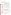| Type of Waterbody: Rivers and Streams (reported in miles) |                           |                                                |                                 |                           |                                                     |                           |
|-----------------------------------------------------------|---------------------------|------------------------------------------------|---------------------------------|---------------------------|-----------------------------------------------------|---------------------------|
| Use                                                       | <b>Size</b><br>Supporting | <b>Size</b><br>Supporting<br>But<br>Threatened | Size<br>Partially<br>Supporting | Size<br><b>Not</b><br>ing | <b>Size</b><br><b>Not</b><br>Support Attaina<br>ble | <b>Size</b><br>Unassessed |
| <b>Fish consumption</b>                                   | 0.4                       |                                                |                                 |                           |                                                     | 31.0                      |
| Shellfishing                                              |                           |                                                |                                 |                           |                                                     |                           |
| Aquatic life support                                      |                           |                                                | 22.2                            |                           | 9.2                                                 |                           |
| Swimming                                                  |                           |                                                | 16.1                            |                           | 15.3                                                |                           |
| Secondary contact                                         |                           |                                                | 16.1                            |                           | 15.3                                                |                           |
| Drinking water supply                                     |                           |                                                |                                 |                           |                                                     |                           |
| Agriculture                                               | 22.2                      |                                                |                                 |                           | 9.2                                                 |                           |
| Tribally defined:<br>culture/tradition                    |                           |                                                |                                 |                           |                                                     | 9.2                       |

#### <span id="page-6-0"></span>**Table 2. Individual Use Support Summary**

**Table 3. Summary of Stream Miles Impaired by Various Pollutants/Stressors**

| Size of Waters by Contribution to Impairment       |       |                |  |
|----------------------------------------------------|-------|----------------|--|
| <b>Cause Category</b>                              | Major | Moderate/Minor |  |
| Nutrients                                          |       | 22.2           |  |
| Flow alterations<br>(channelization)               |       | 0.1            |  |
| Other habitat alterations<br>(streambed, riparian) | 21.8  |                |  |
| Pathogen indicators                                |       | 21.8           |  |
| Noxious aquatic plants                             |       | 22.2           |  |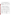| Size of Waters by Contribution to Impairment |              |                |  |
|----------------------------------------------|--------------|----------------|--|
| <b>Source Category</b>                       | <b>Major</b> | Moderate/Minor |  |
| Agriculture (livestock grazing)              | 22.2         |                |  |
| Construction (roads and culverts)            |              | 1.5            |  |
| <b>Resource extraction</b>                   |              | 0.3            |  |

#### <span id="page-7-0"></span>**Table 4. Summary of Stream Miles Impaired by Various Source Categories**

**Table 5. Waterbody-Specific Assessment Data for 305(b) Reporting\***

| <b>Waterbody Name</b>            | <b>Waterbo</b><br>dy ID | <b>Description</b>          | <b>Total</b><br><b>Size</b> | <b>Size</b><br>Impaired | <b>Designated Uses</b>          |
|----------------------------------|-------------------------|-----------------------------|-----------------------------|-------------------------|---------------------------------|
| Mill Creek                       | $ITT-001$               | Source to mouth             | $10 \text{ mi}$             | l6 mi                   | Aquatic life<br>Ceremonial      |
| <b>Sky Lake</b>                  | $ITT-002$               | Entire lake                 | 50 <sub>ac</sub>            | $\bf{0}$ ac             | Aquatic life Drinking<br>lwater |
| <b>Back River</b><br>consumption | TT-003                  | Downstream of<br>Giant Mine | 50 mi                       | $25 \text{ mi}$         | Aquatic life Fish               |
| Spring Branch                    | TT-004                  | Source to mouth             | $15 \text{ mi}$             | $15 \text{ mi}$         | Aquatic life Swimming           |

| Degree of<br><b>Use</b><br><b>Support</b> | <b>Causes</b>                     | <b>Sources</b>                 | Type of<br><b>Assessment</b>             | <b>Comments</b>   |
|-------------------------------------------|-----------------------------------|--------------------------------|------------------------------------------|-------------------|
| Nonsupport<br>Nonsupport                  | DO, ph,<br>nutrients,<br>sediment | Agriculture,<br>municipal WWTP | Fixed-station<br>chemical<br>monitoring  | Need WWTP upgrade |
| <b>Full support</b><br>Full support       |                                   |                                | Creel survey;<br>drinking water<br>ldata |                   |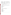| Partial<br>support<br>Nonsupport | Metals,<br>pesticides                      | Mine tailings,<br>agriculture | biosurvey                     | Fish tissue data; Fish consumption<br>advisory for mercury,<br>llead |
|----------------------------------|--------------------------------------------|-------------------------------|-------------------------------|----------------------------------------------------------------------|
| Full support modification        | Nonsupport Sediment nutrients Agriculture, | streambank<br>sampling        | Biosurvey;<br>bacteria needed | Streambank stabilization                                             |

**\*Hypothetical data to illustrate simplified format for 1996 Tribal 305(b) reporting. WWTP = wastewater treatment plant**

#### **Common Causes of Water Quality Impairment (Pollutants and Stressors)**

Flow alterations Metals Nutrients (nitrogen, phosphorus) Oxygen-depleting materials Pathogens Pesticides Salinity Sediment Taste and odor

#### **Common Sources of Water Quality Impairment**

Channelization Feedlots Industrial discharges Irrigated crop land Land disposal Municipal discharges Natural sources (e.g., salt deposits) Pastureland Silviculture Streambank modification Surface mining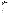### <span id="page-9-0"></span>**U.S. Environmental Protection Agency 305(b) Coordinators**

For more information about the National Water Quality Inventory Report or for additional copies of this document, contact:

Susan Holdsworth National 305(b) Coordinator USEPA (4503F) 401 M St. SW Washington, DC 20460 (202) 260- 4743

For information on water quality in the EPA Regions, contact:

Region 1: Connecticut, Massachusetts, Maine, New Hampshire, Rhode Island, Vermont

Ray Thompson EPA Region 1 60 Westview Street Lexington, MA 02173 (617) 860-4377 Thompson.Ray@epa.gov

Region 2: New Jersey, New York, Puerto Rico, Virgin Islands

Linda Longo EPA Region 2 Water Management Division 290 Broadway New York, NY 10007-1866 (212) 637-3847

Region 3: Delaware, Maryland, Pennsylvania, Virginia, West Virginia, District of Columbia

Martin Matlin EPA Region 3 1650 Arch St. Philadelphia, PA 19103 (215) 566-6149

Region 4: Alabama, Florida, Georgia, Kentucky, Mississippi, North Carolina, South Carolina, Tennessee

David Melgaard EPA Region 4 61 Forsyth St. Atlanta, GA 30303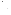(404) 652-9265

Region 5: Illinois, Indiana, Ohio, Michigan, Minnesota, Wisconsin

Dave Stoltenberg EPA Region 5 77 West Jackson Blvd. Chicago, IL 60604 (312) 353-5784

Region 6: Arkansas, Louisiana, New Mexico, Oklahoma, Texas

Paul Koska EPA Region 6 (6WQ-EW) 1445 Ross Avenue Dallas, TX 75202 (214) 665-8357 Koska.Paul@epa.gov

Region 7: Iowa, Kansas, Missouri, Nebraska

Robert Steiert EPA Region 7 726 Minnesota Avenue Kansas City, KS 66101 (913) 551-7433 Steiert.Robert@epa.gov

Region 8: Colorado, Montana, North Dakota, South Dakota, Utah, Wyoming

Tina Laidlaw EPA Region 8 (8EPR-EP) One Denver Place 999 18th Street, Suite 50 Denver, CO 80202 (303) 312-6880 Laidlaw.Tina@epa.gov

Region 9: Arizona, California, Hawaii, Nevada, American Samoa, Guam

Janet Hashimoto EPA Region 9 75 Hawthorne St. San Francisco, CA 94105 (415) 744-1933 Hashimoto.Janet@epa.gov

Region 10: Alaska, Idaho, Oregon, Washington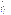<span id="page-11-0"></span>Curry Jones EPA Region 10 1200 Sixth Avenue Seattle, WA 98101 (206) 553-6912 Jones.Curry@epa.gov

### **Regional Indian Program Managers and Coordinators Revised 03/99**

| <b>REGION I</b><br><b>JIM SAPPIER (E-mail:</b><br>Sappier.James@epa.gov)<br>Indian Coordinator<br>EPA Region I (CSP)<br>Robert Goetzl - (617) 918-<br>1671<br>Valerie Ferry - (617) 918-<br>1674<br>1 Congress Street<br>Boston, MA 02114<br>$(617)$ 918-1672<br>FAX: (617) 918-4940 | <b>REGION VII</b><br>KIM OLSON (E-mail: Olson.Kim@epa.gov)<br><b>Indian Coordinator</b><br><b>EPA Region VII</b><br>726 Minnesota Avenue<br>Kansas City, KS 66101<br>$(913) 551 - 7539$<br>FAX: (913) 551-7863             |
|--------------------------------------------------------------------------------------------------------------------------------------------------------------------------------------------------------------------------------------------------------------------------------------|----------------------------------------------------------------------------------------------------------------------------------------------------------------------------------------------------------------------------|
| <b>REGION II</b><br><b>CHRISTINE YOST (E-</b><br>mail:<br>Yost.Christine@epa.gov)<br>Indian Coordinator<br><b>EPA</b> Region II<br>290 Broadway<br>New York, NY 10007-1866 (303) 312-6343<br>$(212)$ 637-3564<br>FAX: (212) 637-3772<br>Webpage                                      | <b>REGION VIII</b><br>SADIE HOSKIE (E-mail: Hoskie.Sadie@epa.gov)<br><b>Tribal Program Manager</b><br>EPA Region VIII (80EA)<br>999 18th St. Suite 500<br>Denver, CO 80202-2405<br>FAX: (303) 312-6741<br>Webpage          |
| <b>REGION IV</b><br><b>MARK ROBERTSON (E-</b><br>lmail:<br>Roberton.Mark@epa.gov)<br>Acting, Indian Coordinator<br>EPA Region IV (AMB)<br>61 Forsyth Street, S.W.<br>Atlanta, CA 30303-3104<br>$(404)$ 562-9639<br>FAX: (404) 562-9598                                               | <b>REGION IX</b><br>CLANCY TENLEY (E-mail: Tenley.Clancy@epa.gov)<br>Tribal Program Manager<br>EPA Region IX $(E-4)$<br><b>75 Hawthorne Street</b><br>San Francisco, CA 94104<br>$(415) 744 - 1607$<br>FAX: (415) 744-1604 |
| <b>REGION V</b><br>CASEY AMBUTAS (E-                                                                                                                                                                                                                                                 | <b>REGION X</b><br>Scott Sufficool,                                                                                                                                                                                        |